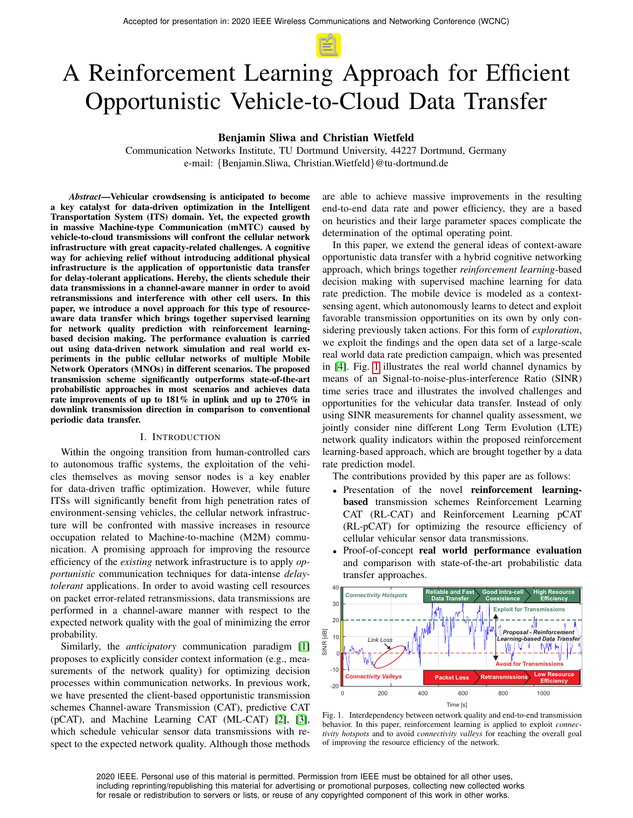# A Reinforcement Learning Approach for Efficient Opportunistic Vehicle-to-Cloud Data Transfer

# Benjamin Sliwa and Christian Wietfeld

Communication Networks Institute, TU Dortmund University, 44227 Dortmund, Germany e-mail: {Benjamin.Sliwa, Christian.Wietfeld}@tu-dortmund.de

*Abstract*—Vehicular crowdsensing is anticipated to become a key catalyst for data-driven optimization in the Intelligent Transportation System (ITS) domain. Yet, the expected growth in massive Machine-type Communication (mMTC) caused by vehicle-to-cloud transmissions will confront the cellular network infrastructure with great capacity-related challenges. A cognitive way for achieving relief without introducing additional physical infrastructure is the application of opportunistic data transfer for delay-tolerant applications. Hereby, the clients schedule their data transmissions in a channel-aware manner in order to avoid retransmissions and interference with other cell users. In this paper, we introduce a novel approach for this type of resourceaware data transfer which brings together supervised learning for network quality prediction with reinforcement learningbased decision making. The performance evaluation is carried out using data-driven network simulation and real world experiments in the public cellular networks of multiple Mobile Network Operators (MNOs) in different scenarios. The proposed transmission scheme significantly outperforms state-of-the-art probabilistic approaches in most scenarios and achieves data rate improvements of up to 181% in uplink and up to 270% in downlink transmission direction in comparison to conventional periodic data transfer.

### I. INTRODUCTION

Within the ongoing transition from human-controlled cars to autonomous traffic systems, the exploitation of the vehicles themselves as moving sensor nodes is a key enabler for data-driven traffic optimization. However, while future ITSs will significantly benefit from high penetration rates of environment-sensing vehicles, the cellular network infrastructure will be confronted with massive increases in resource occupation related to Machine-to-machine (M2M) communication. A promising approach for improving the resource efficiency of the *existing* network infrastructure is to apply *opportunistic* communication techniques for data-intense *delaytolerant* applications. In order to avoid wasting cell resources on packet error-related retransmissions, data transmissions are performed in a channel-aware manner with respect to the expected network quality with the goal of minimizing the error probability.

Similarly, the *anticipatory* communication paradigm [\[1\]](#page-7-0) proposes to explicitly consider context information (e.g., measurements of the network quality) for optimizing decision processes within communication networks. In previous work, we have presented the client-based opportunistic transmission schemes Channel-aware Transmission (CAT), predictive CAT (pCAT), and Machine Learning CAT (ML-CAT) [\[2\]](#page-7-1), [\[3\]](#page-7-2), which schedule vehicular sensor data transmissions with respect to the expected network quality. Although those methods

are able to achieve massive improvements in the resulting end-to-end data rate and power efficiency, they are a based on heuristics and their large parameter spaces complicate the determination of the optimal operating point.

In this paper, we extend the general ideas of context-aware opportunistic data transfer with a hybrid cognitive networking approach, which brings together *reinforcement learning*-based decision making with supervised machine learning for data rate prediction. The mobile device is modeled as a contextsensing agent, which autonomously learns to detect and exploit favorable transmission opportunities on its own by only considering previously taken actions. For this form of *exploration*, we exploit the findings and the open data set of a large-scale real world data rate prediction campaign, which was presented in [\[4\]](#page-7-3). Fig. [1](#page-0-0) illustrates the real world channel dynamics by means of an Signal-to-noise-plus-interference Ratio (SINR) time series trace and illustrates the involved challenges and opportunities for the vehicular data transfer. Instead of only using SINR measurements for channel quality assessment, we jointly consider nine different Long Term Evolution (LTE) network quality indicators within the proposed reinforcement learning-based approach, which are brought together by a data rate prediction model.

The contributions provided by this paper are as follows:

- Presentation of the novel reinforcement learningbased transmission schemes Reinforcement Learning CAT (RL-CAT) and Reinforcement Learning pCAT (RL-pCAT) for optimizing the resource efficiency of cellular vehicular sensor data transmissions.
- Proof-of-concept real world performance evaluation and comparison with state-of-the-art probabilistic data transfer approaches.



<span id="page-0-0"></span>Fig. 1. Interdependency between network quality and end-to-end transmission behavior. In this paper, reinforcement learning is applied to exploit *connectivity hotspots* and to avoid *connectivity valleys* for reaching the overall goal of improving the resource efficiency of the network.

2020 IEEE. Personal use of this material is permitted. Permission from IEEE must be obtained for all other uses, including reprinting/republishing this material for advertising or promotional purposes, collecting new collected works for resale or redistribution to servers or lists, or reuse of any copyrighted component of this work in other works.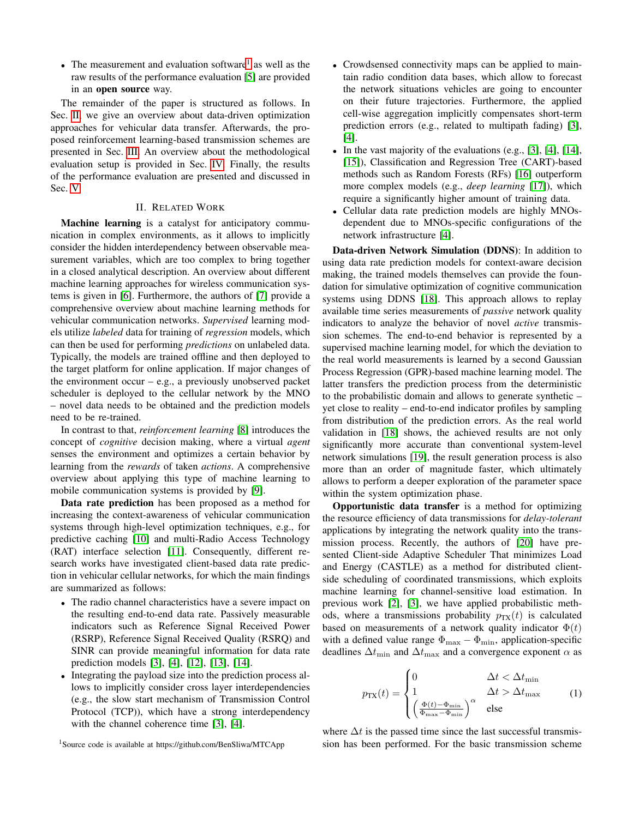• The measurement and evaluation software<sup>[1](#page-1-0)</sup> as well as the raw results of the performance evaluation [\[5\]](#page-7-4) are provided in an open source way.

The remainder of the paper is structured as follows. In Sec. [II,](#page-1-1) we give an overview about data-driven optimization approaches for vehicular data transfer. Afterwards, the proposed reinforcement learning-based transmission schemes are presented in Sec. [III.](#page-2-0) An overview about the methodological evaluation setup is provided in Sec. [IV.](#page-3-0) Finally, the results of the performance evaluation are presented and discussed in Sec. [V.](#page-5-0)

## II. RELATED WORK

<span id="page-1-1"></span>Machine learning is a catalyst for anticipatory communication in complex environments, as it allows to implicitly consider the hidden interdependency between observable measurement variables, which are too complex to bring together in a closed analytical description. An overview about different machine learning approaches for wireless communication systems is given in [\[6\]](#page-7-5). Furthermore, the authors of [\[7\]](#page-7-6) provide a comprehensive overview about machine learning methods for vehicular communication networks. *Supervised* learning models utilize *labeled* data for training of *regression* models, which can then be used for performing *predictions* on unlabeled data. Typically, the models are trained offline and then deployed to the target platform for online application. If major changes of the environment occur – e.g., a previously unobserved packet scheduler is deployed to the cellular network by the MNO – novel data needs to be obtained and the prediction models need to be re-trained.

In contrast to that, *reinforcement learning* [\[8\]](#page-7-7) introduces the concept of *cognitive* decision making, where a virtual *agent* senses the environment and optimizes a certain behavior by learning from the *rewards* of taken *actions*. A comprehensive overview about applying this type of machine learning to mobile communication systems is provided by [\[9\]](#page-7-8).

Data rate prediction has been proposed as a method for increasing the context-awareness of vehicular communication systems through high-level optimization techniques, e.g., for predictive caching [\[10\]](#page-7-9) and multi-Radio Access Technology (RAT) interface selection [\[11\]](#page-7-10). Consequently, different research works have investigated client-based data rate prediction in vehicular cellular networks, for which the main findings are summarized as follows:

- The radio channel characteristics have a severe impact on the resulting end-to-end data rate. Passively measurable indicators such as Reference Signal Received Power (RSRP), Reference Signal Received Quality (RSRQ) and SINR can provide meaningful information for data rate prediction models [\[3\]](#page-7-2), [\[4\]](#page-7-3), [\[12\]](#page-7-11), [\[13\]](#page-7-12), [\[14\]](#page-7-13).
- Integrating the payload size into the prediction process allows to implicitly consider cross layer interdependencies (e.g., the slow start mechanism of Transmission Control Protocol (TCP)), which have a strong interdependency with the channel coherence time [\[3\]](#page-7-2), [\[4\]](#page-7-3).
- Crowdsensed connectivity maps can be applied to maintain radio condition data bases, which allow to forecast the network situations vehicles are going to encounter on their future trajectories. Furthermore, the applied cell-wise aggregation implicitly compensates short-term prediction errors (e.g., related to multipath fading) [\[3\]](#page-7-2), [\[4\]](#page-7-3).
- In the vast majority of the evaluations  $(e.g., [3], [4], [14],$  $(e.g., [3], [4], [14],$  $(e.g., [3], [4], [14],$  $(e.g., [3], [4], [14],$  $(e.g., [3], [4], [14],$  $(e.g., [3], [4], [14],$  $(e.g., [3], [4], [14],$ [\[15\]](#page-7-14)), Classification and Regression Tree (CART)-based methods such as Random Forests (RFs) [\[16\]](#page-7-15) outperform more complex models (e.g., *deep learning* [\[17\]](#page-7-16)), which require a significantly higher amount of training data.
- Cellular data rate prediction models are highly MNOsdependent due to MNOs-specific configurations of the network infrastructure [\[4\]](#page-7-3).

Data-driven Network Simulation (DDNS): In addition to using data rate prediction models for context-aware decision making, the trained models themselves can provide the foundation for simulative optimization of cognitive communication systems using DDNS [\[18\]](#page-7-17). This approach allows to replay available time series measurements of *passive* network quality indicators to analyze the behavior of novel *active* transmission schemes. The end-to-end behavior is represented by a supervised machine learning model, for which the deviation to the real world measurements is learned by a second Gaussian Process Regression (GPR)-based machine learning model. The latter transfers the prediction process from the deterministic to the probabilistic domain and allows to generate synthetic – yet close to reality – end-to-end indicator profiles by sampling from distribution of the prediction errors. As the real world validation in [\[18\]](#page-7-17) shows, the achieved results are not only significantly more accurate than conventional system-level network simulations [\[19\]](#page-7-18), the result generation process is also more than an order of magnitude faster, which ultimately allows to perform a deeper exploration of the parameter space within the system optimization phase.

Opportunistic data transfer is a method for optimizing the resource efficiency of data transmissions for *delay-tolerant* applications by integrating the network quality into the transmission process. Recently, the authors of [\[20\]](#page-7-19) have presented Client-side Adaptive Scheduler That minimizes Load and Energy (CASTLE) as a method for distributed clientside scheduling of coordinated transmissions, which exploits machine learning for channel-sensitive load estimation. In previous work [\[2\]](#page-7-1), [\[3\]](#page-7-2), we have applied probabilistic methods, where a transmissions probability  $p_{TX}(t)$  is calculated based on measurements of a network quality indicator  $\Phi(t)$ with a defined value range  $\Phi_{\text{max}} - \Phi_{\text{min}}$ , application-specific deadlines  $\Delta t_{\text{min}}$  and  $\Delta t_{\text{max}}$  and a convergence exponent  $\alpha$  as

$$
p_{\text{TX}}(t) = \begin{cases} 0 & \Delta t < \Delta t_{\text{min}} \\ 1 & \Delta t > \Delta t_{\text{max}} \\ \left(\frac{\Phi(t) - \Phi_{\text{min}}}{\Phi_{\text{max}} - \Phi_{\text{min}}}\right)^{\alpha} & \text{else} \end{cases}
$$
(1)

where  $\Delta t$  is the passed time since the last successful transmission has been performed. For the basic transmission scheme

<span id="page-1-0"></span><sup>1</sup>Source code is available at https://github.com/BenSliwa/MTCApp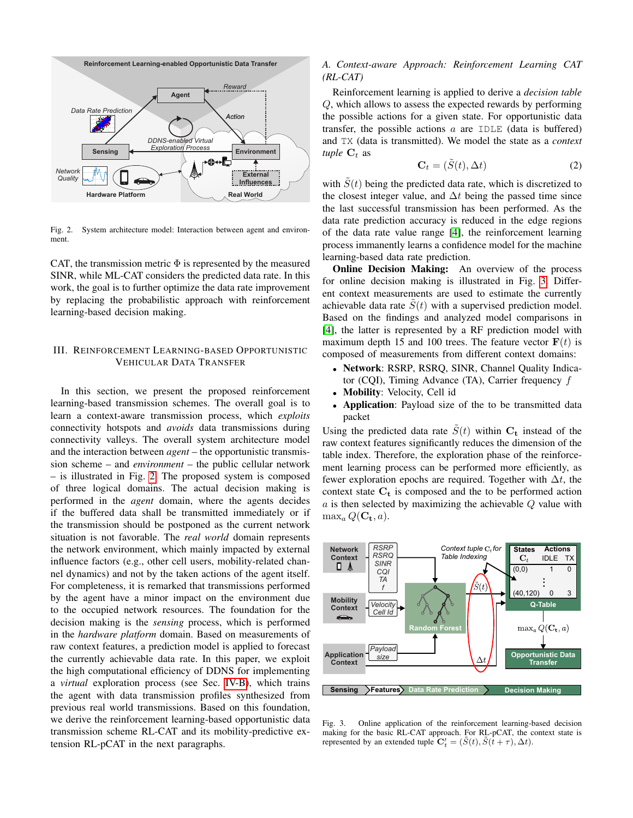

<span id="page-2-1"></span>Fig. 2. System architecture model: Interaction between agent and environment.

CAT, the transmission metric  $\Phi$  is represented by the measured SINR, while ML-CAT considers the predicted data rate. In this work, the goal is to further optimize the data rate improvement by replacing the probabilistic approach with reinforcement learning-based decision making.

## <span id="page-2-0"></span>III. REINFORCEMENT LEARNING-BASED OPPORTUNISTIC VEHICULAR DATA TRANSFER

In this section, we present the proposed reinforcement learning-based transmission schemes. The overall goal is to learn a context-aware transmission process, which *exploits* connectivity hotspots and *avoids* data transmissions during connectivity valleys. The overall system architecture model and the interaction between *agent* – the opportunistic transmission scheme – and *environment* – the public cellular network – is illustrated in Fig. [2.](#page-2-1) The proposed system is composed of three logical domains. The actual decision making is performed in the *agent* domain, where the agents decides if the buffered data shall be transmitted immediately or if the transmission should be postponed as the current network situation is not favorable. The *real world* domain represents the network environment, which mainly impacted by external influence factors (e.g., other cell users, mobility-related channel dynamics) and not by the taken actions of the agent itself. For completeness, it is remarked that transmissions performed by the agent have a minor impact on the environment due to the occupied network resources. The foundation for the decision making is the *sensing* process, which is performed in the *hardware platform* domain. Based on measurements of raw context features, a prediction model is applied to forecast the currently achievable data rate. In this paper, we exploit the high computational efficiency of DDNS for implementing a *virtual* exploration process (see Sec. [IV-B\)](#page-4-0), which trains the agent with data transmission profiles synthesized from previous real world transmissions. Based on this foundation, we derive the reinforcement learning-based opportunistic data transmission scheme RL-CAT and its mobility-predictive extension RL-pCAT in the next paragraphs.

## <span id="page-2-3"></span>*A. Context-aware Approach: Reinforcement Learning CAT (RL-CAT)*

Reinforcement learning is applied to derive a *decision table* Q, which allows to assess the expected rewards by performing the possible actions for a given state. For opportunistic data transfer, the possible actions  $a$  are IDLE (data is buffered) and TX (data is transmitted). We model the state as a *context tuple*  $C_t$  as

$$
\mathbf{C}_t = (\tilde{S}(t), \Delta t) \tag{2}
$$

with  $\tilde{S}(t)$  being the predicted data rate, which is discretized to the closest integer value, and  $\Delta t$  being the passed time since the last successful transmission has been performed. As the data rate prediction accuracy is reduced in the edge regions of the data rate value range [\[4\]](#page-7-3), the reinforcement learning process immanently learns a confidence model for the machine learning-based data rate prediction.

**Online Decision Making:** An overview of the process for online decision making is illustrated in Fig. [3.](#page-2-2) Different context measurements are used to estimate the currently achievable data rate  $S(t)$  with a supervised prediction model. Based on the findings and analyzed model comparisons in [\[4\]](#page-7-3), the latter is represented by a RF prediction model with maximum depth 15 and 100 trees. The feature vector  $F(t)$  is composed of measurements from different context domains:

- Network: RSRP, RSRQ, SINR, Channel Quality Indicator (CQI), Timing Advance (TA), Carrier frequency  $f$
- Mobility: Velocity, Cell id
- Application: Payload size of the to be transmitted data packet

Using the predicted data rate  $\hat{S}(t)$  within  $C_t$  instead of the raw context features significantly reduces the dimension of the table index. Therefore, the exploration phase of the reinforcement learning process can be performed more efficiently, as fewer exploration epochs are required. Together with  $\Delta t$ , the context state  $C_t$  is composed and the to be performed action  $a$  is then selected by maximizing the achievable  $Q$  value with  $\max_a Q(\mathbf{C_t}, a)$ .



<span id="page-2-2"></span>Fig. 3. Online application of the reinforcement learning-based decision making for the basic RL-CAT approach. For RL-pCAT, the context state is represented by an extended tuple  $\mathbf{C}'_t = (\tilde{S}(t), \tilde{S}(t + \tau), \Delta t)$ .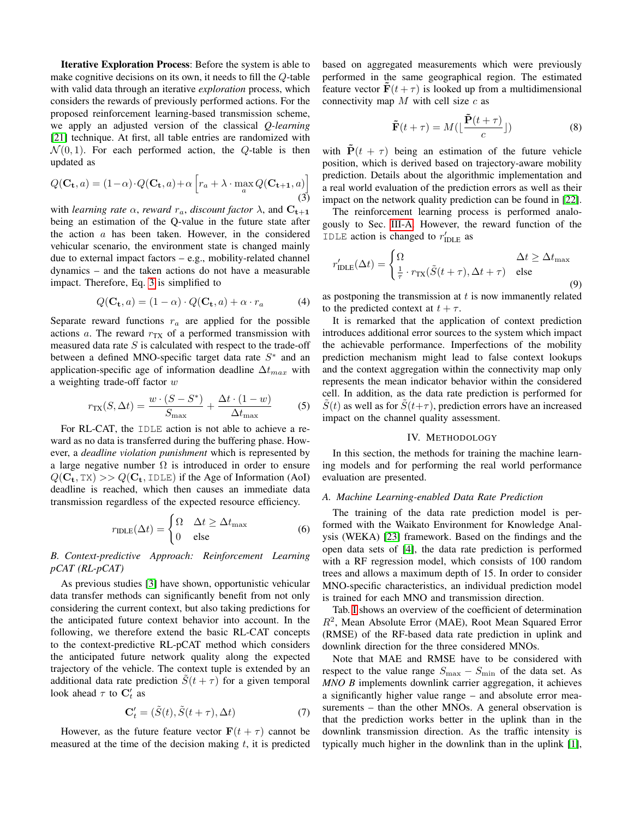Iterative Exploration Process: Before the system is able to make cognitive decisions on its own, it needs to fill the Q-table with valid data through an iterative *exploration* process, which considers the rewards of previously performed actions. For the proposed reinforcement learning-based transmission scheme, we apply an adjusted version of the classical *Q-learning* [\[21\]](#page-8-0) technique. At first, all table entries are randomized with  $\mathcal{N}(0, 1)$ . For each performed action, the Q-table is then updated as

<span id="page-3-1"></span>
$$
Q(\mathbf{C_t}, a) = (1 - \alpha) \cdot Q(\mathbf{C_t}, a) + \alpha \left[ r_a + \lambda \cdot \max_{a} Q(\mathbf{C_{t+1}}, a) \right]
$$
(3)

with *learning rate*  $\alpha$ , *reward*  $r_a$ , *discount factor*  $\lambda$ , and  $\mathbf{C_{t+1}}$ being an estimation of the Q-value in the future state after the action  $a$  has been taken. However, in the considered vehicular scenario, the environment state is changed mainly due to external impact factors – e.g., mobility-related channel dynamics – and the taken actions do not have a measurable impact. Therefore, Eq. [3](#page-3-1) is simplified to

$$
Q(\mathbf{C_t}, a) = (1 - \alpha) \cdot Q(\mathbf{C_t}, a) + \alpha \cdot r_a \tag{4}
$$

Separate reward functions  $r_a$  are applied for the possible actions  $a$ . The reward  $r_{TX}$  of a performed transmission with measured data rate  $S$  is calculated with respect to the trade-off between a defined MNO-specific target data rate  $S^*$  and an application-specific age of information deadline  $\Delta t_{max}$  with a weighting trade-off factor w

$$
r_{\text{TX}}(S, \Delta t) = \frac{w \cdot (S - S^*)}{S_{\text{max}}} + \frac{\Delta t \cdot (1 - w)}{\Delta t_{\text{max}}} \tag{5}
$$

For RL-CAT, the IDLE action is not able to achieve a reward as no data is transferred during the buffering phase. However, a *deadline violation punishment* which is represented by a large negative number  $\Omega$  is introduced in order to ensure  $Q(C_t, TX) >> Q(C_t, IDLE)$  if the Age of Information (AoI) deadline is reached, which then causes an immediate data transmission regardless of the expected resource efficiency.

$$
r_{\text{IDLE}}(\Delta t) = \begin{cases} \Omega & \Delta t \ge \Delta t_{\text{max}} \\ 0 & \text{else} \end{cases}
$$
 (6)

<span id="page-3-2"></span>*B. Context-predictive Approach: Reinforcement Learning pCAT (RL-pCAT)*

As previous studies [\[3\]](#page-7-2) have shown, opportunistic vehicular data transfer methods can significantly benefit from not only considering the current context, but also taking predictions for the anticipated future context behavior into account. In the following, we therefore extend the basic RL-CAT concepts to the context-predictive RL-pCAT method which considers the anticipated future network quality along the expected trajectory of the vehicle. The context tuple is extended by an additional data rate prediction  $\tilde{S}(t + \tau)$  for a given temporal look ahead  $\tau$  to  $\mathbf{C}'_t$  as

$$
\mathbf{C}'_t = (\tilde{S}(t), \tilde{S}(t+\tau), \Delta t) \tag{7}
$$

However, as the future feature vector  $F(t + \tau)$  cannot be measured at the time of the decision making  $t$ , it is predicted based on aggregated measurements which were previously performed in the same geographical region. The estimated feature vector  $\mathbf{F}(t + \tau)$  is looked up from a multidimensional connectivity map  $M$  with cell size  $c$  as

<span id="page-3-3"></span>
$$
\tilde{\mathbf{F}}(t+\tau) = M\left(\lfloor \frac{\tilde{\mathbf{P}}(t+\tau)}{c} \rfloor\right)
$$
 (8)

with  $\dot{P}(t + \tau)$  being an estimation of the future vehicle position, which is derived based on trajectory-aware mobility prediction. Details about the algorithmic implementation and a real world evaluation of the prediction errors as well as their impact on the network quality prediction can be found in [\[22\]](#page-8-1).

The reinforcement learning process is performed analogously to Sec. [III-A.](#page-2-3) However, the reward function of the IDLE action is changed to  $r'_{\text{IDLE}}$  as

$$
r'_{\text{IDLE}}(\Delta t) = \begin{cases} \Omega & \Delta t \ge \Delta t_{\text{max}} \\ \frac{1}{\tau} \cdot r_{\text{TX}}(\tilde{S}(t+\tau), \Delta t + \tau) & \text{else} \end{cases}
$$
(9)

as postponing the transmission at  $t$  is now immanently related to the predicted context at  $t + \tau$ .

It is remarked that the application of context prediction introduces additional error sources to the system which impact the achievable performance. Imperfections of the mobility prediction mechanism might lead to false context lookups and the context aggregation within the connectivity map only represents the mean indicator behavior within the considered cell. In addition, as the data rate prediction is performed for  $S(t)$  as well as for  $S(t+\tau)$ , prediction errors have an increased impact on the channel quality assessment.

#### IV. METHODOLOGY

<span id="page-3-0"></span>In this section, the methods for training the machine learning models and for performing the real world performance evaluation are presented.

# <span id="page-3-4"></span>*A. Machine Learning-enabled Data Rate Prediction*

The training of the data rate prediction model is performed with the Waikato Environment for Knowledge Analysis (WEKA) [\[23\]](#page-8-2) framework. Based on the findings and the open data sets of [\[4\]](#page-7-3), the data rate prediction is performed with a RF regression model, which consists of 100 random trees and allows a maximum depth of 15. In order to consider MNO-specific characteristics, an individual prediction model is trained for each MNO and transmission direction.

Tab. [I](#page-4-1) shows an overview of the coefficient of determination  $R^2$ , Mean Absolute Error (MAE), Root Mean Squared Error (RMSE) of the RF-based data rate prediction in uplink and downlink direction for the three considered MNOs.

Note that MAE and RMSE have to be considered with respect to the value range  $S_{\text{max}} - S_{\text{min}}$  of the data set. As *MNO B* implements downlink carrier aggregation, it achieves a significantly higher value range – and absolute error measurements – than the other MNOs. A general observation is that the prediction works better in the uplink than in the downlink transmission direction. As the traffic intensity is typically much higher in the downlink than in the uplink [\[1\]](#page-7-0),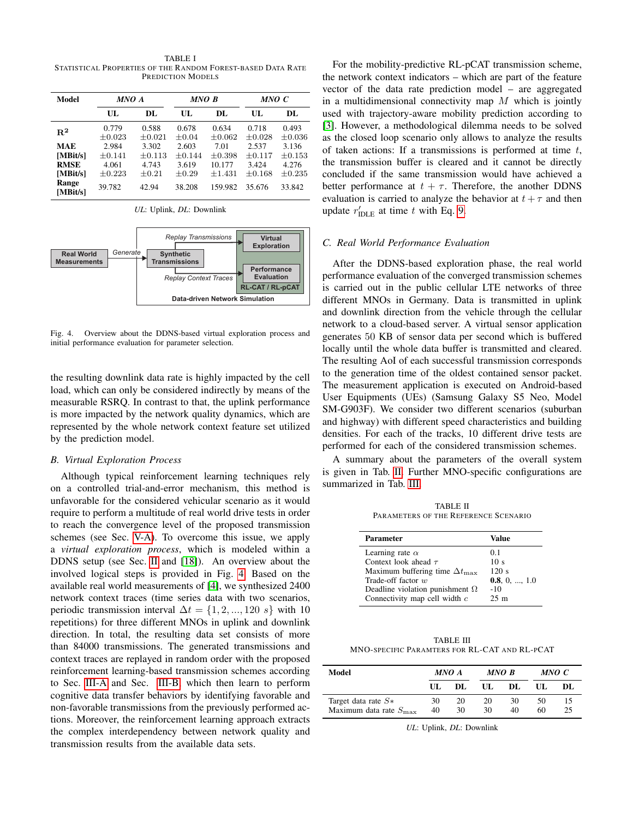<span id="page-4-1"></span>TABLE I STATISTICAL PROPERTIES OF THE RANDOM FOREST-BASED DATA RATE PREDICTION MODELS

| Model             | MNO A                |                      | MNO B            |                      | MNO C                |                      |
|-------------------|----------------------|----------------------|------------------|----------------------|----------------------|----------------------|
|                   | UL.                  | DL.                  | UL.              | DL.                  | UL.                  | DL.                  |
| $\mathbf{R}^2$    | 0.779<br>$\pm 0.023$ | 0.588<br>$\pm 0.021$ | 0.678<br>$+0.04$ | 0.634<br>$\pm 0.062$ | 0.718<br>$\pm 0.028$ | 0.493<br>$\pm 0.036$ |
| MAE               | 2.984                | 3.302                | 2.603            | 7.01                 | 2.537                | 3.136                |
| [MBit/s]          | $+0.141$             | $+0.113$             | $\pm 0.144$      | $+0.398$             | $+0.117$             | $+0.153$             |
| <b>RMSE</b>       | 4.061                | 4.743                | 3.619            | 10.177               | 3.424                | 4.276                |
| [MBit/s]          | $\pm 0.223$          | $\pm 0.21$           | $+0.29$          | $+1.431$             | $+0.168$             | $+0.235$             |
| Range<br>[MBit/s] | 39.782               | 42.94                | 38.208           | 159.982              | 35.676               | 33.842               |

| <b>Real World</b><br><b>Measurements</b> | Generate | <b>Replay Transmissions</b><br><b>Virtual</b><br><b>Exploration</b><br><b>Synthetic</b><br><b>Transmissions</b><br><b>Performance</b><br><b>Evaluation</b><br><b>Replay Context Traces</b><br><b>RL-CAT / RL-pCAT</b> |  |  |  |
|------------------------------------------|----------|-----------------------------------------------------------------------------------------------------------------------------------------------------------------------------------------------------------------------|--|--|--|
|                                          |          | Data-driven Network Simulation                                                                                                                                                                                        |  |  |  |

<span id="page-4-2"></span>*UL*: Uplink, *DL*: Downlink

Fig. 4. Overview about the DDNS-based virtual exploration process and initial performance evaluation for parameter selection.

the resulting downlink data rate is highly impacted by the cell load, which can only be considered indirectly by means of the measurable RSRQ. In contrast to that, the uplink performance is more impacted by the network quality dynamics, which are represented by the whole network context feature set utilized by the prediction model.

## <span id="page-4-0"></span>*B. Virtual Exploration Process*

Although typical reinforcement learning techniques rely on a controlled trial-and-error mechanism, this method is unfavorable for the considered vehicular scenario as it would require to perform a multitude of real world drive tests in order to reach the convergence level of the proposed transmission schemes (see Sec. [V-A\)](#page-5-1). To overcome this issue, we apply a *virtual exploration process*, which is modeled within a DDNS setup (see Sec. [II](#page-1-1) and [\[18\]](#page-7-17)). An overview about the involved logical steps is provided in Fig. [4.](#page-4-2) Based on the available real world measurements of [\[4\]](#page-7-3), we synthesized 2400 network context traces (time series data with two scenarios, periodic transmission interval  $\Delta t = \{1, 2, ..., 120 \text{ s}\}\$  with 10 repetitions) for three different MNOs in uplink and downlink direction. In total, the resulting data set consists of more than 84000 transmissions. The generated transmissions and context traces are replayed in random order with the proposed reinforcement learning-based transmission schemes according to Sec. [III-A](#page-2-3) and Sec. [III-B,](#page-3-2) which then learn to perform cognitive data transfer behaviors by identifying favorable and non-favorable transmissions from the previously performed actions. Moreover, the reinforcement learning approach extracts the complex interdependency between network quality and transmission results from the available data sets.

For the mobility-predictive RL-pCAT transmission scheme, the network context indicators – which are part of the feature vector of the data rate prediction model – are aggregated in a multidimensional connectivity map  $M$  which is jointly used with trajectory-aware mobility prediction according to [\[3\]](#page-7-2). However, a methodological dilemma needs to be solved as the closed loop scenario only allows to analyze the results of taken actions: If a transmissions is performed at time  $t$ . the transmission buffer is cleared and it cannot be directly concluded if the same transmission would have achieved a better performance at  $t + \tau$ . Therefore, the another DDNS evaluation is carried to analyze the behavior at  $t + \tau$  and then update  $r'_{\text{IDLE}}$  at time t with Eq. [9.](#page-3-3)

## *C. Real World Performance Evaluation*

After the DDNS-based exploration phase, the real world performance evaluation of the converged transmission schemes is carried out in the public cellular LTE networks of three different MNOs in Germany. Data is transmitted in uplink and downlink direction from the vehicle through the cellular network to a cloud-based server. A virtual sensor application generates 50 KB of sensor data per second which is buffered locally until the whole data buffer is transmitted and cleared. The resulting AoI of each successful transmission corresponds to the generation time of the oldest contained sensor packet. The measurement application is executed on Android-based User Equipments (UEs) (Samsung Galaxy S5 Neo, Model SM-G903F). We consider two different scenarios (suburban and highway) with different speed characteristics and building densities. For each of the tracks, 10 different drive tests are performed for each of the considered transmission schemes.

A summary about the parameters of the overall system is given in Tab. [II.](#page-4-3) Further MNO-specific configurations are summarized in Tab. [III.](#page-4-4)

TABLE II PARAMETERS OF THE REFERENCE SCENARIO

<span id="page-4-3"></span>

| <b>Parameter</b>                            | Value                 |
|---------------------------------------------|-----------------------|
| Learning rate $\alpha$                      | 0.1                   |
| Context look ahead $\tau$                   | 10 <sub>s</sub>       |
| Maximum buffering time $\Delta t_{\rm max}$ | 120 s                 |
| Trade-off factor w                          | 0.8, 0, $\dots$ , 1.0 |
| Deadline violation punishment $\Omega$      | $-10$                 |
| Connectivity map cell width c               | 25m                   |

<span id="page-4-4"></span>TABLE III MNO-SPECIFIC PARAMTERS FOR RL-CAT AND RL-PCAT

| Model                                                       | MNO A    |          | MNO B    |          | MNO C    |          |
|-------------------------------------------------------------|----------|----------|----------|----------|----------|----------|
|                                                             | UL.      | DL.      | UL.      | DL.      | UL.      | DL.      |
| Target data rate $S*$<br>Maximum data rate $S_{\text{max}}$ | 30<br>40 | 20<br>30 | 20<br>30 | 30<br>40 | 50<br>60 | 15<br>25 |

*UL*: Uplink, *DL*: Downlink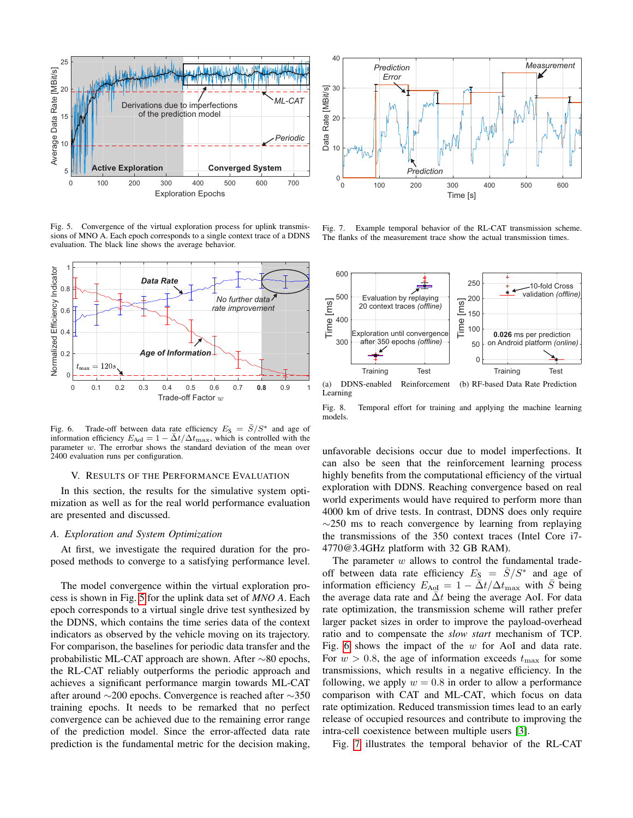

<span id="page-5-2"></span>Fig. 5. Convergence of the virtual exploration process for uplink transmissions of MNO A. Each epoch corresponds to a single context trace of a DDNS evaluation. The black line shows the average behavior.



Fig. 6. Trade-off between data rate efficiency  $E_S = \bar{S}/S^*$  and age of information efficiency  $E_{\text{AoI}} = 1 - \bar{\Delta}t / \Delta t_{\text{max}}$ , which is controlled with the parameter w. The errorbar shows the standard deviation of the mean over 2400 evaluation runs per configuration.

#### <span id="page-5-3"></span><span id="page-5-0"></span>V. RESULTS OF THE PERFORMANCE EVALUATION

In this section, the results for the simulative system optimization as well as for the real world performance evaluation are presented and discussed.

## <span id="page-5-1"></span>*A. Exploration and System Optimization*

At first, we investigate the required duration for the proposed methods to converge to a satisfying performance level.

The model convergence within the virtual exploration process is shown in Fig. [5](#page-5-2) for the uplink data set of *MNO A*. Each epoch corresponds to a virtual single drive test synthesized by the DDNS, which contains the time series data of the context indicators as observed by the vehicle moving on its trajectory. For comparison, the baselines for periodic data transfer and the probabilistic ML-CAT approach are shown. After ∼80 epochs, the RL-CAT reliably outperforms the periodic approach and achieves a significant performance margin towards ML-CAT after around ∼200 epochs. Convergence is reached after ∼350 training epochs. It needs to be remarked that no perfect convergence can be achieved due to the remaining error range of the prediction model. Since the error-affected data rate prediction is the fundamental metric for the decision making,



<span id="page-5-4"></span>Fig. 7. Example temporal behavior of the RL-CAT transmission scheme. The flanks of the measurement trace show the actual transmission times.



(a) DDNS-enabled Reinforcement Learning (b) RF-based Data Rate Prediction

<span id="page-5-5"></span>Fig. 8. Temporal effort for training and applying the machine learning models.

unfavorable decisions occur due to model imperfections. It can also be seen that the reinforcement learning process highly benefits from the computational efficiency of the virtual exploration with DDNS. Reaching convergence based on real world experiments would have required to perform more than 4000 km of drive tests. In contrast, DDNS does only require  $\sim$ 250 ms to reach convergence by learning from replaying the transmissions of the 350 context traces (Intel Core i7- 4770@3.4GHz platform with 32 GB RAM).

The parameter  $w$  allows to control the fundamental tradeoff between data rate efficiency  $E_S = \bar{S}/S^*$  and age of information efficiency  $E_{\text{AoI}} = 1 - \bar{\Delta}t/\Delta t_{\text{max}}$  with  $\bar{S}$  being the average data rate and  $\bar{\Delta}t$  being the average AoI. For data rate optimization, the transmission scheme will rather prefer larger packet sizes in order to improve the payload-overhead ratio and to compensate the *slow start* mechanism of TCP. Fig. [6](#page-5-3) shows the impact of the  $w$  for AoI and data rate. For  $w > 0.8$ , the age of information exceeds  $t_{\text{max}}$  for some transmissions, which results in a negative efficiency. In the following, we apply  $w = 0.8$  in order to allow a performance comparison with CAT and ML-CAT, which focus on data rate optimization. Reduced transmission times lead to an early release of occupied resources and contribute to improving the intra-cell coexistence between multiple users [\[3\]](#page-7-2).

Fig. [7](#page-5-4) illustrates the temporal behavior of the RL-CAT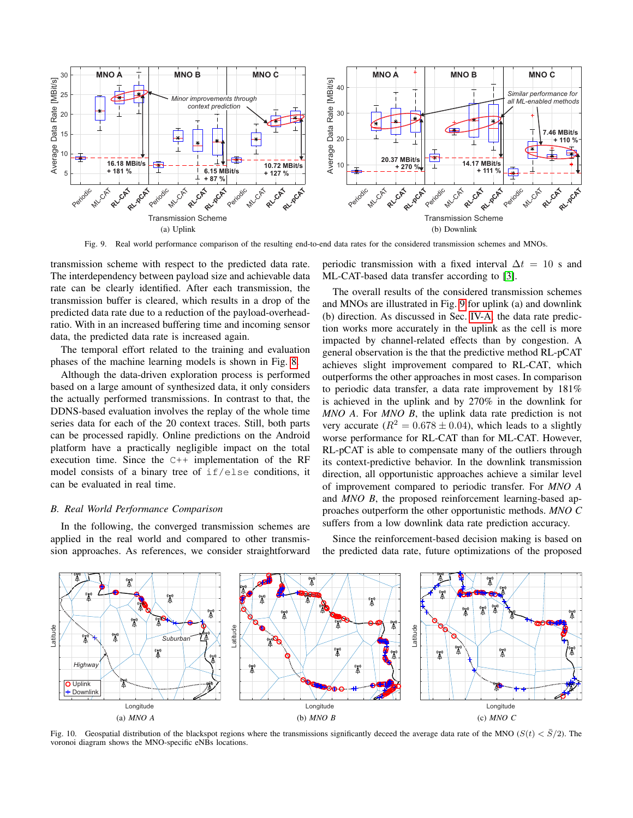

Fig. 9. Real world performance comparison of the resulting end-to-end data rates for the considered transmission schemes and MNOs.

<span id="page-6-0"></span>transmission scheme with respect to the predicted data rate. The interdependency between payload size and achievable data rate can be clearly identified. After each transmission, the transmission buffer is cleared, which results in a drop of the predicted data rate due to a reduction of the payload-overheadratio. With in an increased buffering time and incoming sensor data, the predicted data rate is increased again.

The temporal effort related to the training and evaluation phases of the machine learning models is shown in Fig. [8.](#page-5-5)

Although the data-driven exploration process is performed based on a large amount of synthesized data, it only considers the actually performed transmissions. In contrast to that, the DDNS-based evaluation involves the replay of the whole time series data for each of the 20 context traces. Still, both parts can be processed rapidly. Online predictions on the Android platform have a practically negligible impact on the total execution time. Since the C++ implementation of the RF model consists of a binary tree of if/else conditions, it can be evaluated in real time.

#### *B. Real World Performance Comparison*

In the following, the converged transmission schemes are applied in the real world and compared to other transmission approaches. As references, we consider straightforward

periodic transmission with a fixed interval  $\Delta t = 10$  s and ML-CAT-based data transfer according to [\[3\]](#page-7-2).

The overall results of the considered transmission schemes and MNOs are illustrated in Fig. [9](#page-6-0) for uplink (a) and downlink (b) direction. As discussed in Sec. [IV-A,](#page-3-4) the data rate prediction works more accurately in the uplink as the cell is more impacted by channel-related effects than by congestion. A general observation is the that the predictive method RL-pCAT achieves slight improvement compared to RL-CAT, which outperforms the other approaches in most cases. In comparison to periodic data transfer, a data rate improvement by 181% is achieved in the uplink and by 270% in the downlink for *MNO A*. For *MNO B*, the uplink data rate prediction is not very accurate ( $R^2 = 0.678 \pm 0.04$ ), which leads to a slightly worse performance for RL-CAT than for ML-CAT. However, RL-pCAT is able to compensate many of the outliers through its context-predictive behavior. In the downlink transmission direction, all opportunistic approaches achieve a similar level of improvement compared to periodic transfer. For *MNO A* and *MNO B*, the proposed reinforcement learning-based approaches outperform the other opportunistic methods. *MNO C* suffers from a low downlink data rate prediction accuracy.



Since the reinforcement-based decision making is based on



<span id="page-6-1"></span>Fig. 10. Geospatial distribution of the blackspot regions where the transmissions significantly deceed the average data rate of the MNO ( $S(t) < \overline{S}/2$ ). The voronoi diagram shows the MNO-specific eNBs locations.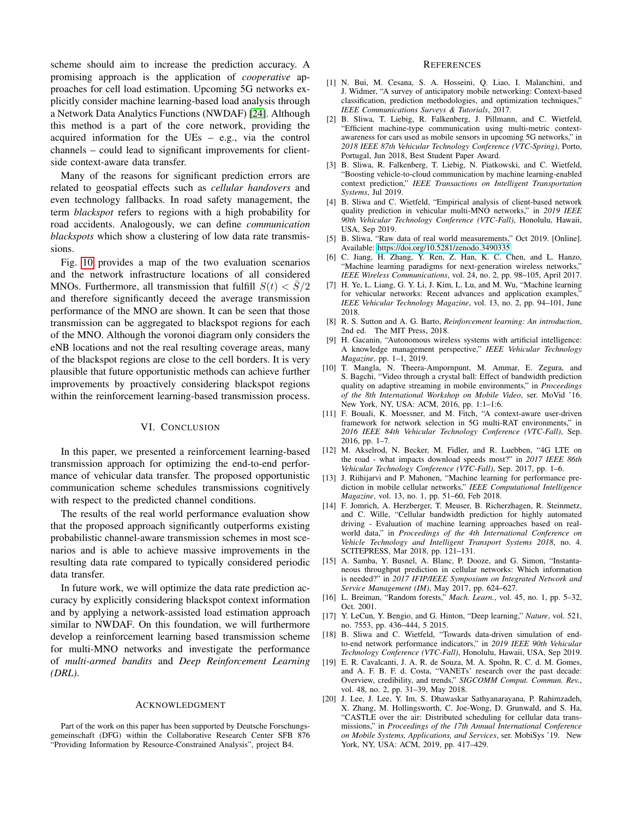scheme should aim to increase the prediction accuracy. A promising approach is the application of *cooperative* approaches for cell load estimation. Upcoming 5G networks explicitly consider machine learning-based load analysis through a Network Data Analytics Functions (NWDAF) [\[24\]](#page-8-3). Although this method is a part of the core network, providing the acquired information for the UEs – e.g., via the control channels – could lead to significant improvements for clientside context-aware data transfer.

Many of the reasons for significant prediction errors are related to geospatial effects such as *cellular handovers* and even technology fallbacks. In road safety management, the term *blackspot* refers to regions with a high probability for road accidents. Analogously, we can define *communication blackspots* which show a clustering of low data rate transmissions.

Fig. [10](#page-6-1) provides a map of the two evaluation scenarios and the network infrastructure locations of all considered MNOs. Furthermore, all transmission that fulfill  $S(t) < S/2$ and therefore significantly deceed the average transmission performance of the MNO are shown. It can be seen that those transmission can be aggregated to blackspot regions for each of the MNO. Although the voronoi diagram only considers the eNB locations and not the real resulting coverage areas, many of the blackspot regions are close to the cell borders. It is very plausible that future opportunistic methods can achieve further improvements by proactively considering blackspot regions within the reinforcement learning-based transmission process.

#### VI. CONCLUSION

In this paper, we presented a reinforcement learning-based transmission approach for optimizing the end-to-end performance of vehicular data transfer. The proposed opportunistic communication scheme schedules transmissions cognitively with respect to the predicted channel conditions.

The results of the real world performance evaluation show that the proposed approach significantly outperforms existing probabilistic channel-aware transmission schemes in most scenarios and is able to achieve massive improvements in the resulting data rate compared to typically considered periodic data transfer.

In future work, we will optimize the data rate prediction accuracy by explicitly considering blackspot context information and by applying a network-assisted load estimation approach similar to NWDAF. On this foundation, we will furthermore develop a reinforcement learning based transmission scheme for multi-MNO networks and investigate the performance of *multi-armed bandits* and *Deep Reinforcement Learning (DRL)*.

#### ACKNOWLEDGMENT

Part of the work on this paper has been supported by Deutsche Forschungsgemeinschaft (DFG) within the Collaborative Research Center SFB 876 "Providing Information by Resource-Constrained Analysis", project B4.

#### **REFERENCES**

- <span id="page-7-0"></span>[1] N. Bui, M. Cesana, S. A. Hosseini, Q. Liao, I. Malanchini, and J. Widmer, "A survey of anticipatory mobile networking: Context-based classification, prediction methodologies, and optimization techniques," *IEEE Communications Surveys & Tutorials*, 2017.
- <span id="page-7-1"></span>[2] B. Sliwa, T. Liebig, R. Falkenberg, J. Pillmann, and C. Wietfeld, "Efficient machine-type communication using multi-metric contextawareness for cars used as mobile sensors in upcoming 5G networks," in *2018 IEEE 87th Vehicular Technology Conference (VTC-Spring)*, Porto, Portugal, Jun 2018, Best Student Paper Award.
- <span id="page-7-2"></span>[3] B. Sliwa, R. Falkenberg, T. Liebig, N. Piatkowski, and C. Wietfeld, "Boosting vehicle-to-cloud communication by machine learning-enabled context prediction," *IEEE Transactions on Intelligent Transportation Systems*, Jul 2019.
- <span id="page-7-3"></span>[4] B. Sliwa and C. Wietfeld, "Empirical analysis of client-based network quality prediction in vehicular multi-MNO networks," in *2019 IEEE 90th Vehicular Technology Conference (VTC-Fall)*, Honolulu, Hawaii, USA, Sep 2019.
- <span id="page-7-4"></span>[5] B. Sliwa, "Raw data of real world measurements," Oct 2019. [Online]. Available:<https://doi.org/10.5281/zenodo.3490335>
- <span id="page-7-5"></span>[6] C. Jiang, H. Zhang, Y. Ren, Z. Han, K. C. Chen, and L. Hanzo, "Machine learning paradigms for next-generation wireless networks," *IEEE Wireless Communications*, vol. 24, no. 2, pp. 98–105, April 2017.
- <span id="page-7-6"></span>[7] H. Ye, L. Liang, G. Y. Li, J. Kim, L. Lu, and M. Wu, "Machine learning for vehicular networks: Recent advances and application examples, *IEEE Vehicular Technology Magazine*, vol. 13, no. 2, pp. 94–101, June 2018.
- <span id="page-7-7"></span>[8] R. S. Sutton and A. G. Barto, *Reinforcement learning: An introduction*, 2nd ed. The MIT Press, 2018.
- <span id="page-7-8"></span>[9] H. Gacanin, "Autonomous wireless systems with artificial intelligence: A knowledge management perspective," *IEEE Vehicular Technology Magazine*, pp. 1–1, 2019.
- <span id="page-7-9"></span>[10] T. Mangla, N. Theera-Ampornpunt, M. Ammar, E. Zegura, and S. Bagchi, "Video through a crystal ball: Effect of bandwidth prediction quality on adaptive streaming in mobile environments," in *Proceedings of the 8th International Workshop on Mobile Video*, ser. MoVid '16. New York, NY, USA: ACM, 2016, pp. 1:1–1:6.
- <span id="page-7-10"></span>[11] F. Bouali, K. Moessner, and M. Fitch, "A context-aware user-driven framework for network selection in 5G multi-RAT environments," in *2016 IEEE 84th Vehicular Technology Conference (VTC-Fall)*, Sep. 2016, pp. 1–7.
- <span id="page-7-11"></span>[12] M. Akselrod, N. Becker, M. Fidler, and R. Luebben, "4G LTE on the road - what impacts download speeds most?" in *2017 IEEE 86th Vehicular Technology Conference (VTC-Fall)*, Sep. 2017, pp. 1–6.
- <span id="page-7-12"></span>[13] J. Riihijarvi and P. Mahonen, "Machine learning for performance prediction in mobile cellular networks," *IEEE Computational Intelligence Magazine*, vol. 13, no. 1, pp. 51–60, Feb 2018.
- <span id="page-7-13"></span>[14] F. Jomrich, A. Herzberger, T. Meuser, B. Richerzhagen, R. Steinmetz, and C. Wille, "Cellular bandwidth prediction for highly automated driving - Evaluation of machine learning approaches based on realworld data," in *Proceedings of the 4th International Conference on Vehicle Technology and Intelligent Transport Systems 2018*, no. 4. SCITEPRESS, Mar 2018, pp. 121–131.
- <span id="page-7-14"></span>[15] A. Samba, Y. Busnel, A. Blanc, P. Dooze, and G. Simon, "Instantaneous throughput prediction in cellular networks: Which information is needed?" in *2017 IFIP/IEEE Symposium on Integrated Network and Service Management (IM)*, May 2017, pp. 624–627.
- <span id="page-7-15"></span>[16] L. Breiman, "Random forests," *Mach. Learn.*, vol. 45, no. 1, pp. 5–32, Oct. 2001.
- <span id="page-7-16"></span>[17] Y. LeCun, Y. Bengio, and G. Hinton, "Deep learning," *Nature*, vol. 521, no. 7553, pp. 436–444, 5 2015.
- <span id="page-7-17"></span>[18] B. Sliwa and C. Wietfeld, "Towards data-driven simulation of endto-end network performance indicators," in *2019 IEEE 90th Vehicular Technology Conference (VTC-Fall)*, Honolulu, Hawaii, USA, Sep 2019.
- <span id="page-7-18"></span>[19] E. R. Cavalcanti, J. A. R. de Souza, M. A. Spohn, R. C. d. M. Gomes, and A. F. B. F. d. Costa, "VANETs' research over the past decade: Overview, credibility, and trends," *SIGCOMM Comput. Commun. Rev.*, vol. 48, no. 2, pp. 31–39, May 2018.
- <span id="page-7-19"></span>[20] J. Lee, J. Lee, Y. Im, S. Dhawaskar Sathyanarayana, P. Rahimzadeh, X. Zhang, M. Hollingsworth, C. Joe-Wong, D. Grunwald, and S. Ha, "CASTLE over the air: Distributed scheduling for cellular data transmissions," in *Proceedings of the 17th Annual International Conference on Mobile Systems, Applications, and Services*, ser. MobiSys '19. New York, NY, USA: ACM, 2019, pp. 417–429.